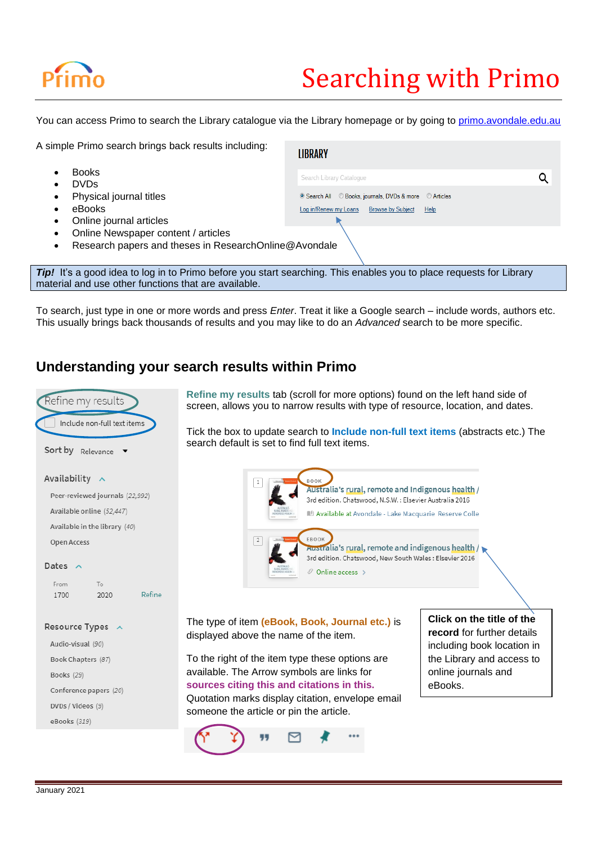# Searching with Primo

You can access Primo to search the Library catalogue via the Library homepage or by going to [primo.avondale.edu.au](file://///profiles/users/Staff/stephanie_b/Documents/Helpfull%20references/primo.avondale.edu.au)

| A simple Primo search brings back results including:                                                                | <b>LIBRARY</b>                                                                                                                    |
|---------------------------------------------------------------------------------------------------------------------|-----------------------------------------------------------------------------------------------------------------------------------|
| <b>Books</b><br><b>DVDs</b>                                                                                         | Search Library Catalogue                                                                                                          |
| Physical journal titles<br>eBooks                                                                                   | © Books, journals, DVDs & more © Articles<br><sup>O</sup> Search All<br>Log in/Renew my Loans<br><b>Browse by Subject</b><br>Help |
| Online journal articles                                                                                             |                                                                                                                                   |
| Online Newspaper content / articles<br>Research papers and theses in ResearchOnline@Avondale                        |                                                                                                                                   |
|                                                                                                                     |                                                                                                                                   |
| Tip! It's a good idea to log in to Primo before you start searching. This enables you to place requests for Library |                                                                                                                                   |

material and use other functions that are available.

To search, just type in one or more words and press *Enter*. Treat it like a Google search – include words, authors etc. This usually brings back thousands of results and you may like to do an *Advanced* search to be more specific.

### **Understanding your search results within Primo**